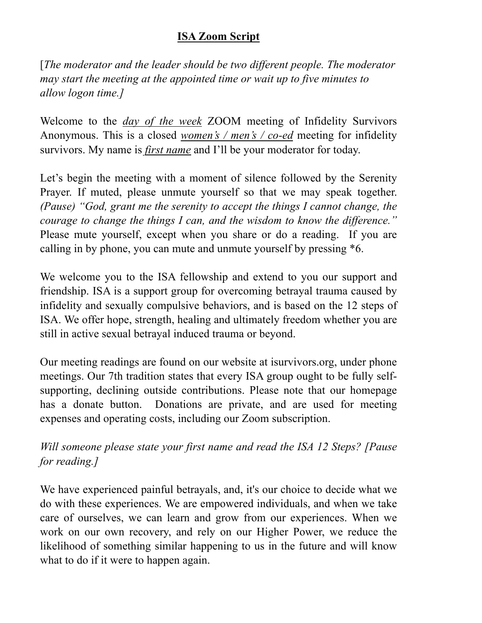## **ISA Zoom Script**

[*The moderator and the leader should be two different people. The moderator may start the meeting at the appointed time or wait up to five minutes to allow logon time.]*

Welcome to the *day of the week* ZOOM meeting of Infidelity Survivors Anonymous. This is a closed *women's / men's / co-ed* meeting for infidelity survivors. My name is *first name* and I'll be your moderator for today.

Let's begin the meeting with a moment of silence followed by the Serenity Prayer. If muted, please unmute yourself so that we may speak together. *(Pause) "God, grant me the serenity to accept the things I cannot change, the courage to change the things I can, and the wisdom to know the difference."*  Please mute yourself, except when you share or do a reading. If you are calling in by phone, you can mute and unmute yourself by pressing \*6.

We welcome you to the ISA fellowship and extend to you our support and friendship. ISA is a support group for overcoming betrayal trauma caused by infidelity and sexually compulsive behaviors, and is based on the 12 steps of ISA. We offer hope, strength, healing and ultimately freedom whether you are still in active sexual betrayal induced trauma or beyond.

Our meeting readings are found on our website at isurvivors.org, under phone meetings. Our 7th tradition states that every ISA group ought to be fully selfsupporting, declining outside contributions. Please note that our homepage has a donate button. Donations are private, and are used for meeting expenses and operating costs, including our Zoom subscription.

*Will someone please state your first name and read the ISA 12 Steps? [Pause for reading.]*

We have experienced painful betrayals, and, it's our choice to decide what we do with these experiences. We are empowered individuals, and when we take care of ourselves, we can learn and grow from our experiences. When we work on our own recovery, and rely on our Higher Power, we reduce the likelihood of something similar happening to us in the future and will know what to do if it were to happen again.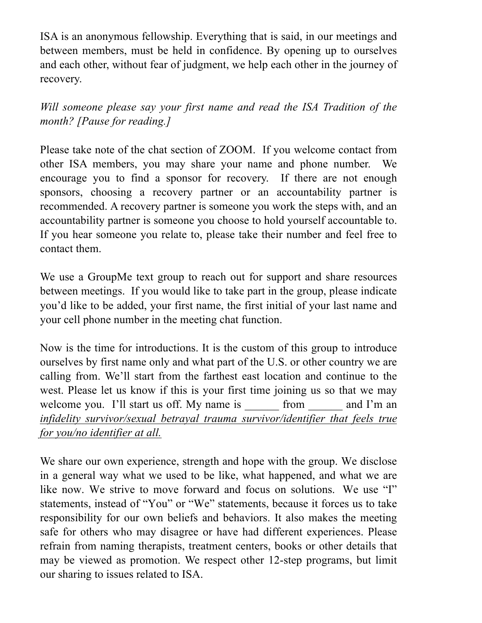ISA is an anonymous fellowship. Everything that is said, in our meetings and between members, must be held in confidence. By opening up to ourselves and each other, without fear of judgment, we help each other in the journey of recovery.

*Will someone please say your first name and read the ISA Tradition of the month? [Pause for reading.]*

Please take note of the chat section of ZOOM. If you welcome contact from other ISA members, you may share your name and phone number. We encourage you to find a sponsor for recovery. If there are not enough sponsors, choosing a recovery partner or an accountability partner is recommended. A recovery partner is someone you work the steps with, and an accountability partner is someone you choose to hold yourself accountable to. If you hear someone you relate to, please take their number and feel free to contact them.

We use a GroupMe text group to reach out for support and share resources between meetings. If you would like to take part in the group, please indicate you'd like to be added, your first name, the first initial of your last name and your cell phone number in the meeting chat function.

Now is the time for introductions. It is the custom of this group to introduce ourselves by first name only and what part of the U.S. or other country we are calling from. We'll start from the farthest east location and continue to the west. Please let us know if this is your first time joining us so that we may welcome you. I'll start us off. My name is from and I'm an *infidelity survivor/sexual betrayal trauma survivor/identifier that feels true for you/no identifier at all.*

We share our own experience, strength and hope with the group. We disclose in a general way what we used to be like, what happened, and what we are like now. We strive to move forward and focus on solutions. We use "I" statements, instead of "You" or "We" statements, because it forces us to take responsibility for our own beliefs and behaviors. It also makes the meeting safe for others who may disagree or have had different experiences. Please refrain from naming therapists, treatment centers, books or other details that may be viewed as promotion. We respect other 12-step programs, but limit our sharing to issues related to ISA.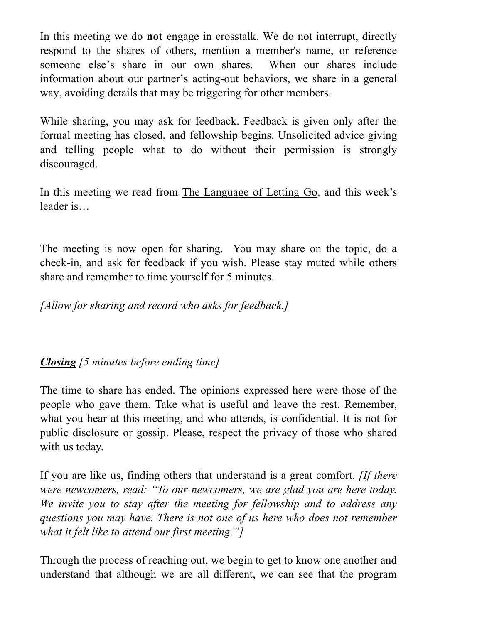In this meeting we do **not** engage in crosstalk. We do not interrupt, directly respond to the shares of others, mention a member's name, or reference someone else's share in our own shares. When our shares include information about our partner's acting-out behaviors, we share in a general way, avoiding details that may be triggering for other members.

While sharing, you may ask for feedback. Feedback is given only after the formal meeting has closed, and fellowship begins. Unsolicited advice giving and telling people what to do without their permission is strongly discouraged.

In this meeting we read from The Language of Letting Go, and this week's leader is…

The meeting is now open for sharing. You may share on the topic, do a check-in, and ask for feedback if you wish. Please stay muted while others share and remember to time yourself for 5 minutes.

*[Allow for sharing and record who asks for feedback.]*

## *Closing [5 minutes before ending time]*

The time to share has ended. The opinions expressed here were those of the people who gave them. Take what is useful and leave the rest. Remember, what you hear at this meeting, and who attends, is confidential. It is not for public disclosure or gossip. Please, respect the privacy of those who shared with us today.

If you are like us, finding others that understand is a great comfort. *[If there were newcomers, read: "To our newcomers, we are glad you are here today. We invite you to stay after the meeting for fellowship and to address any questions you may have. There is not one of us here who does not remember what it felt like to attend our first meeting."]*

Through the process of reaching out, we begin to get to know one another and understand that although we are all different, we can see that the program